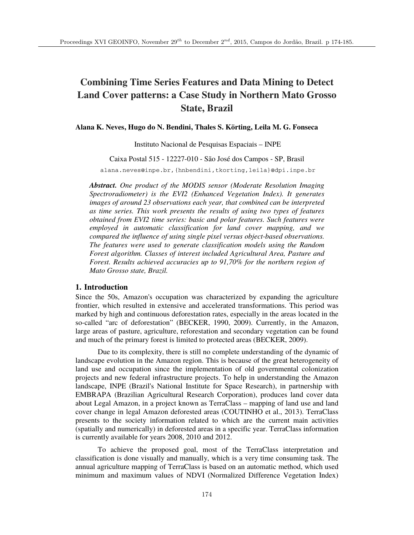# **Combining Time Series Features and Data Mining to Detect Land Cover patterns: a Case Study in Northern Mato Grosso State, Brazil**

# **Alana K. Neves, Hugo do N. Bendini, Thales S. Körting, Leila M. G. Fonseca**

Instituto Nacional de Pesquisas Espaciais – INPE

Caixa Postal 515 - 12227-010 - São José dos Campos - SP, Brasil

alana.neves@inpe.br,{hnbendini,tkorting,leila}@dpi.inpe.br

*Abstract. One product of the MODIS sensor (Moderate Resolution Imaging Spectroradiometer) is the EVI2 (Enhanced Vegetation Index). It generates images of around 23 observations each year, that combined can be interpreted as time series. This work presents the results of using two types of features obtained from EVI2 time series: basic and polar features. Such features were employed in automatic classification for land cover mapping, and we compared the influence of using single pixel versus object-based observations. The features were used to generate classification models using the Random Forest algorithm. Classes of interest included Agricultural Area, Pasture and Forest. Results achieved accuracies up to 91,70% for the northern region of Mato Grosso state, Brazil.* 

## **1. Introduction**

Since the 50s, Amazon's occupation was characterized by expanding the agriculture frontier, which resulted in extensive and accelerated transformations. This period was marked by high and continuous deforestation rates, especially in the areas located in the so-called "arc of deforestation" (BECKER, 1990, 2009). Currently, in the Amazon, large areas of pasture, agriculture, reforestation and secondary vegetation can be found and much of the primary forest is limited to protected areas (BECKER, 2009).

Due to its complexity, there is still no complete understanding of the dynamic of landscape evolution in the Amazon region. This is because of the great heterogeneity of land use and occupation since the implementation of old governmental colonization projects and new federal infrastructure projects. To help in understanding the Amazon landscape, INPE (Brazil's National Institute for Space Research), in partnership with EMBRAPA (Brazilian Agricultural Research Corporation), produces land cover data about Legal Amazon, in a project known as TerraClass – mapping of land use and land cover change in legal Amazon deforested areas (COUTINHO et al., 2013). TerraClass presents to the society information related to which are the current main activities (spatially and numerically) in deforested areas in a specific year. TerraClass information is currently available for years 2008, 2010 and 2012.

To achieve the proposed goal, most of the TerraClass interpretation and classification is done visually and manually, which is a very time consuming task. The annual agriculture mapping of TerraClass is based on an automatic method, which used minimum and maximum values of NDVI (Normalized Difference Vegetation Index)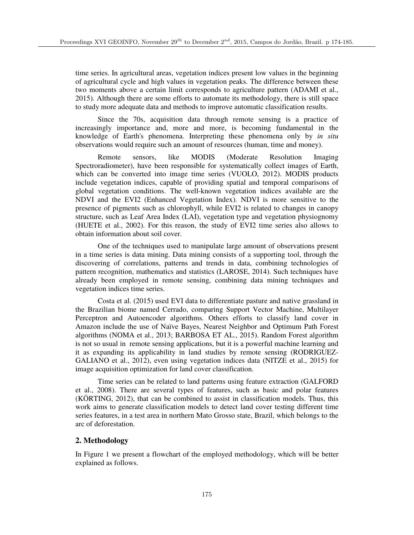time series. In agricultural areas, vegetation indices present low values in the beginning of agricultural cycle and high values in vegetation peaks. The difference between these two moments above a certain limit corresponds to agriculture pattern (ADAMI et al., 2015). Although there are some efforts to automate its methodology, there is still space to study more adequate data and methods to improve automatic classification results.

Since the 70s, acquisition data through remote sensing is a practice of increasingly importance and, more and more, is becoming fundamental in the knowledge of Earth's phenomena. Interpreting these phenomena only by *in situ* observations would require such an amount of resources (human, time and money).

Remote sensors, like MODIS (Moderate Resolution Imaging Spectroradiometer), have been responsible for systematically collect images of Earth, which can be converted into image time series (VUOLO, 2012). MODIS products include vegetation indices, capable of providing spatial and temporal comparisons of global vegetation conditions. The well-known vegetation indices available are the NDVI and the EVI2 (Enhanced Vegetation Index). NDVI is more sensitive to the presence of pigments such as chlorophyll, while EVI2 is related to changes in canopy structure, such as Leaf Area Index (LAI), vegetation type and vegetation physiognomy (HUETE et al., 2002). For this reason, the study of EVI2 time series also allows to obtain information about soil cover.

One of the techniques used to manipulate large amount of observations present in a time series is data mining. Data mining consists of a supporting tool, through the discovering of correlations, patterns and trends in data, combining technologies of pattern recognition, mathematics and statistics (LAROSE, 2014). Such techniques have already been employed in remote sensing, combining data mining techniques and vegetation indices time series.

Costa et al. (2015) used EVI data to differentiate pasture and native grassland in the Brazilian biome named Cerrado, comparing Support Vector Machine, Multilayer Perceptron and Autoencoder algorithms. Others efforts to classify land cover in Amazon include the use of Naïve Bayes, Nearest Neighbor and Optimum Path Forest algorithms (NOMA et al., 2013; BARBOSA ET AL., 2015). Random Forest algorithm is not so usual in remote sensing applications, but it is a powerful machine learning and it as expanding its applicability in land studies by remote sensing (RODRIGUEZ-GALIANO et al., 2012), even using vegetation indices data (NITZE et al., 2015) for image acquisition optimization for land cover classification.

Time series can be related to land patterns using feature extraction (GALFORD et al., 2008). There are several types of features, such as basic and polar features (KÖRTING, 2012), that can be combined to assist in classification models. Thus, this work aims to generate classification models to detect land cover testing different time series features, in a test area in northern Mato Grosso state, Brazil, which belongs to the arc of deforestation.

## **2. Methodology**

In Figure 1 we present a flowchart of the employed methodology, which will be better explained as follows.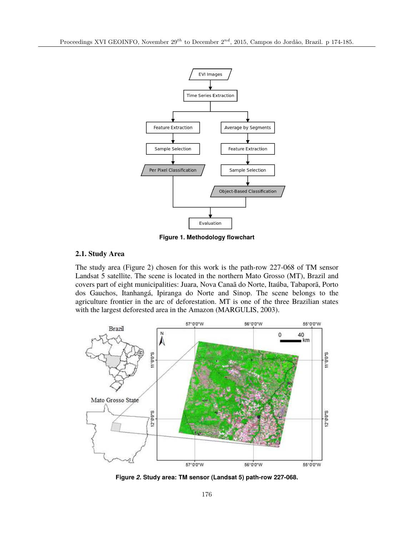

**Figure 1. Methodology flowchart**

# **2.1. Study Area**

The study area (Figure 2) chosen for this work is the path-row 227-068 of TM sensor Landsat 5 satellite. The scene is located in the northern Mato Grosso (MT), Brazil and covers part of eight municipalities: Juara, Nova Canaã do Norte, Itaúba, Tabaporã, Porto dos Gauchos, Itanhangá, Ipiranga do Norte and Sinop. The scene belongs to the agriculture frontier in the arc of deforestation. MT is one of the three Brazilian states with the largest deforested area in the Amazon (MARGULIS, 2003).



**Figure** *2***. Study area: TM sensor (Landsat 5) path-row 227-068.**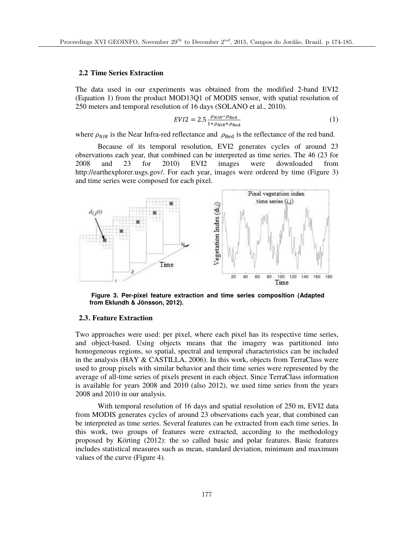## **2.2 Time Series Extraction**

The data used in our experiments was obtained from the modified 2-band EVI2 (Equation 1) from the product MOD13Q1 of MODIS sensor, with spatial resolution of 250 meters and temporal resolution of 16 days (SOLANO et al., 2010).

$$
EVI2 = 2.5 \frac{\rho_{NIR} - \rho_{Red}}{1 + \rho_{NIR} + \rho_{Red}} \tag{1}
$$

where  $\rho_{NIR}$  is the Near Infra-red reflectance and  $\rho_{\text{Red}}$  is the reflectance of the red band.

Because of its temporal resolution, EVI2 generates cycles of around 23 observations each year, that combined can be interpreted as time series. The 46 (23 for 2008 and 23 for 2010) EVI2 images were downloaded from http://earthexplorer.usgs.gov/. For each year, images were ordered by time (Figure 3) and time series were composed for each pixel.



**Figure 3. Per-pixel feature extraction and time series composition (Adapted from Eklundh & Jönsson, 2012).** 

#### **2.3. Feature Extraction**

Two approaches were used: per pixel, where each pixel has its respective time series, and object-based. Using objects means that the imagery was partitioned into homogeneous regions, so spatial, spectral and temporal characteristics can be included in the analysis (HAY & CASTILLA, 2006). In this work, objects from TerraClass were used to group pixels with similar behavior and their time series were represented by the average of all-time series of pixels present in each object. Since TerraClass information is available for years 2008 and 2010 (also 2012), we used time series from the years 2008 and 2010 in our analysis.

With temporal resolution of 16 days and spatial resolution of 250 m, EVI2 data from MODIS generates cycles of around 23 observations each year, that combined can be interpreted as time series. Several features can be extracted from each time series. In this work, two groups of features were extracted, according to the methodology proposed by Körting (2012): the so called basic and polar features. Basic features includes statistical measures such as mean, standard deviation, minimum and maximum values of the curve (Figure 4).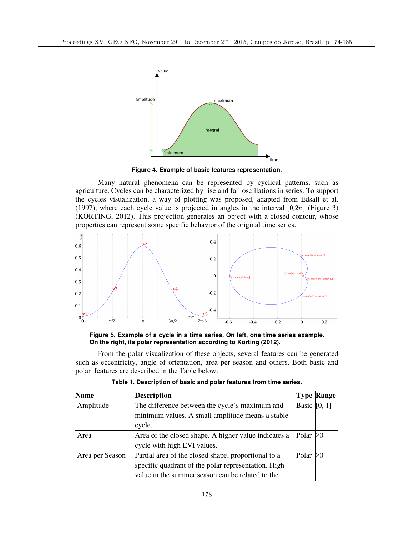

**Figure 4. Example of basic features representation.**

Many natural phenomena can be represented by cyclical patterns, such as agriculture. Cycles can be characterized by rise and fall oscillations in series. To support the cycles visualization, a way of plotting was proposed, adapted from Edsall et al. (1997), where each cycle value is projected in angles in the interval  $[0,2\pi]$  (Figure 3) (KÖRTING, 2012). This projection generates an object with a closed contour, whose properties can represent some specific behavior of the original time series.



**Figure 5. Example of a cycle in a time series. On left, one time series example. On the right, its polar representation according to Körting (2012).** 

From the polar visualization of these objects, several features can be generated such as eccentricity, angle of orientation, area per season and others. Both basic and polar features are described in the Table below.

| <b>Name</b>     | <b>Description</b>                                   |                | <b>Type Range</b> |
|-----------------|------------------------------------------------------|----------------|-------------------|
| Amplitude       | The difference between the cycle's maximum and       | Basic $[0, 1]$ |                   |
|                 | minimum values. A small amplitude means a stable     |                |                   |
|                 | cycle.                                               |                |                   |
| Area            | Area of the closed shape. A higher value indicates a | Polar          |                   |
|                 | cycle with high EVI values.                          |                |                   |
| Area per Season | Partial area of the closed shape, proportional to a  | Polar          |                   |
|                 | specific quadrant of the polar representation. High  |                |                   |
|                 | value in the summer season can be related to the     |                |                   |

**Table 1. Description of basic and polar features from time series.**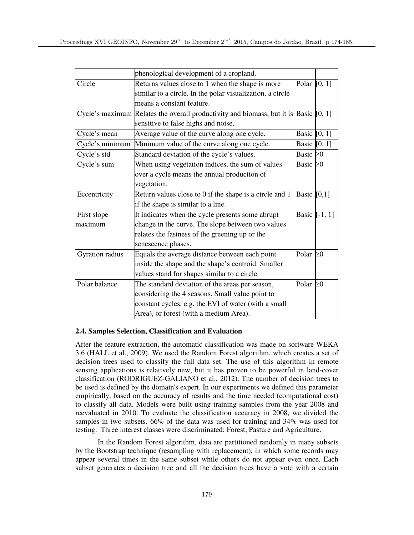|                 | phenological development of a cropland.                                                       |                |                 |
|-----------------|-----------------------------------------------------------------------------------------------|----------------|-----------------|
| Circle          | Returns values close to 1 when the shape is more                                              | Polar $[0, 1]$ |                 |
|                 | similar to a circle. In the polar visualization, a circle                                     |                |                 |
|                 | means a constant feature.                                                                     |                |                 |
|                 | Cycle's maximum Relates the overall productivity and biomass, but it is $\beta$ asic $[0, 1]$ |                |                 |
|                 | sensitive to false highs and noise.                                                           |                |                 |
| Cycle's mean    | Average value of the curve along one cycle.                                                   | Basic $[0, 1]$ |                 |
| Cycle's minimum | Minimum value of the curve along one cycle.                                                   | Basic [0, 1]   |                 |
| Cycle's std     | Standard deviation of the cycle's values.                                                     | Basic $\geq 0$ |                 |
| Cycle's sum     | When using vegetation indices, the sum of values                                              | Basic $\geq 0$ |                 |
|                 | over a cycle means the annual production of                                                   |                |                 |
|                 | vegetation.                                                                                   |                |                 |
| Eccentricity    | Return values close to 0 if the shape is a circle and 1                                       | Basic $[0,1]$  |                 |
|                 | if the shape is similar to a line.                                                            |                |                 |
| First slope     | It indicates when the cycle presents some abrupt                                              |                | Basic $[-1, 1]$ |
| maximum         | change in the curve. The slope between two values                                             |                |                 |
|                 | relates the fastness of the greening up or the                                                |                |                 |
|                 | senescence phases.                                                                            |                |                 |
| Gyration radius | Equals the average distance between each point                                                | Polar $\geq 0$ |                 |
|                 | inside the shape and the shape's centroid. Smaller                                            |                |                 |
|                 | values stand for shapes similar to a circle.                                                  |                |                 |
| Polar balance   | The standard deviation of the areas per season,                                               | Polar $\geq 0$ |                 |
|                 | considering the 4 seasons. Small value point to                                               |                |                 |
|                 | constant cycles, e.g. the EVI of water (with a small                                          |                |                 |
|                 | Area), or forest (with a medium Area).                                                        |                |                 |

## **2.4. Samples Selection, Classification and Evaluation**

After the feature extraction, the automatic classification was made on software WEKA 3.6 (HALL et al., 2009). We used the Random Forest algorithm, which creates a set of decision trees used to classify the full data set. The use of this algorithm in remote sensing applications is relatively new, but it has proven to be powerful in land-cover classification (RODRIGUEZ-GALIANO et al., 2012). The number of decision trees to be used is defined by the domain's expert. In our experiments we defined this parameter empirically, based on the accuracy of results and the time needed (computational cost) to classify all data. Models were built using training samples from the year 2008 and reevaluated in 2010. To evaluate the classification accuracy in 2008, we divided the samples in two subsets. 66% of the data was used for training and 34% was used for testing. Three interest classes were discriminated: Forest, Pasture and Agriculture.

In the Random Forest algorithm, data are partitioned randomly in many subsets by the Bootstrap technique (resampling with replacement), in which some records may appear several times in the same subset while others do not appear even once. Each subset generates a decision tree and all the decision trees have a vote with a certain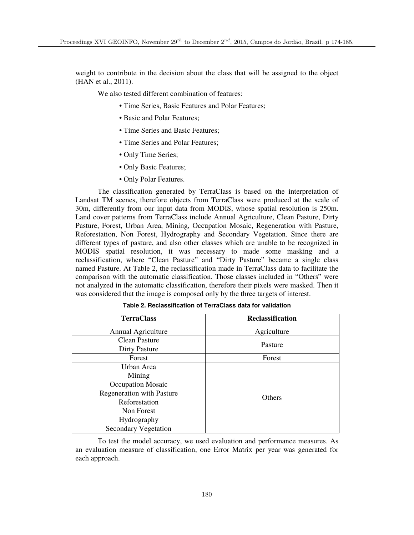weight to contribute in the decision about the class that will be assigned to the object (HAN et al., 2011).

We also tested different combination of features:

- Time Series, Basic Features and Polar Features;
- Basic and Polar Features;
- Time Series and Basic Features;
- Time Series and Polar Features:
- Only Time Series;
- Only Basic Features;
- Only Polar Features.

The classification generated by TerraClass is based on the interpretation of Landsat TM scenes, therefore objects from TerraClass were produced at the scale of 30m, differently from our input data from MODIS, whose spatial resolution is 250m. Land cover patterns from TerraClass include Annual Agriculture, Clean Pasture, Dirty Pasture, Forest, Urban Area, Mining, Occupation Mosaic, Regeneration with Pasture, Reforestation, Non Forest, Hydrography and Secondary Vegetation. Since there are different types of pasture, and also other classes which are unable to be recognized in MODIS spatial resolution, it was necessary to made some masking and a reclassification, where "Clean Pasture" and "Dirty Pasture" became a single class named Pasture. At Table 2, the reclassification made in TerraClass data to facilitate the comparison with the automatic classification. Those classes included in "Others" were not analyzed in the automatic classification, therefore their pixels were masked. Then it was considered that the image is composed only by the three targets of interest.

| <b>TerraClass</b>                | <b>Reclassification</b> |  |
|----------------------------------|-------------------------|--|
| Annual Agriculture               | Agriculture             |  |
| Clean Pasture                    | Pasture                 |  |
| <b>Dirty Pasture</b>             |                         |  |
| Forest                           | Forest                  |  |
| Urban Area                       |                         |  |
| Mining                           |                         |  |
| <b>Occupation Mosaic</b>         |                         |  |
| <b>Regeneration with Pasture</b> | <b>Others</b>           |  |
| Reforestation                    |                         |  |
| Non Forest                       |                         |  |
| Hydrography                      |                         |  |
| <b>Secondary Vegetation</b>      |                         |  |

**Table 2. Reclassification of TerraClass data for validation**

To test the model accuracy, we used evaluation and performance measures. As an evaluation measure of classification, one Error Matrix per year was generated for each approach.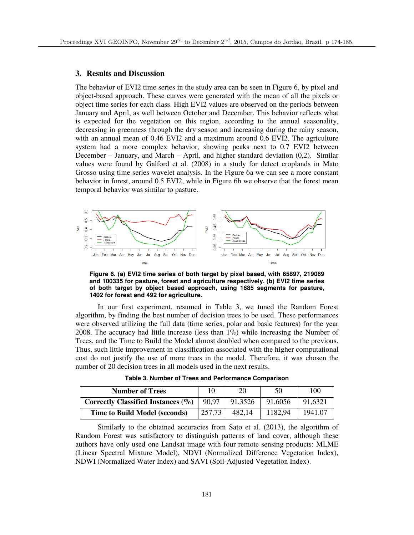## **3. Results and Discussion**

The behavior of EVI2 time series in the study area can be seen in Figure 6, by pixel and object-based approach. These curves were generated with the mean of all the pixels or object time series for each class. High EVI2 values are observed on the periods between January and April, as well between October and December. This behavior reflects what is expected for the vegetation on this region, according to the annual seasonality, decreasing in greenness through the dry season and increasing during the rainy season, with an annual mean of 0.46 EVI2 and a maximum around 0.6 EVI2. The agriculture system had a more complex behavior, showing peaks next to 0.7 EVI2 between December – January, and March – April, and higher standard deviation  $(0,2)$ . Similar values were found by Galford et al. (2008) in a study for detect croplands in Mato Grosso using time series wavelet analysis. In the Figure 6a we can see a more constant behavior in forest, around 0.5 EVI2, while in Figure 6b we observe that the forest mean temporal behavior was similar to pasture.



**Figure 6. (a) EVI2 time series of both target by pixel based, with 65897, 219069 and 100335 for pasture, forest and agriculture respectively. (b) EVI2 time series of both target by object based approach, using 1685 segments for pasture, 1402 for forest and 492 for agriculture.** 

In our first experiment, resumed in Table 3, we tuned the Random Forest algorithm, by finding the best number of decision trees to be used. These performances were observed utilizing the full data (time series, polar and basic features) for the year 2008. The accuracy had little increase (less than  $1\%$ ) while increasing the Number of Trees, and the Time to Build the Model almost doubled when compared to the previous. Thus, such little improvement in classification associated with the higher computational cost do not justify the use of more trees in the model. Therefore, it was chosen the number of 20 decision trees in all models used in the next results.

| <b>Number of Trees</b>                        | 10     | 20      | 50      | 100     |
|-----------------------------------------------|--------|---------|---------|---------|
| Correctly Classified Instances $(\%)$   90,97 |        | 91,3526 | 91,6056 | 91,6321 |
| <b>Time to Build Model (seconds)</b>          | 257,73 | 482.14  | 1182,94 | 1941.07 |

**Table 3. Number of Trees and Performance Comparison**

Similarly to the obtained accuracies from Sato et al. (2013), the algorithm of Random Forest was satisfactory to distinguish patterns of land cover, although these authors have only used one Landsat image with four remote sensing products: MLME (Linear Spectral Mixture Model), NDVI (Normalized Difference Vegetation Index), NDWI (Normalized Water Index) and SAVI (Soil-Adjusted Vegetation Index).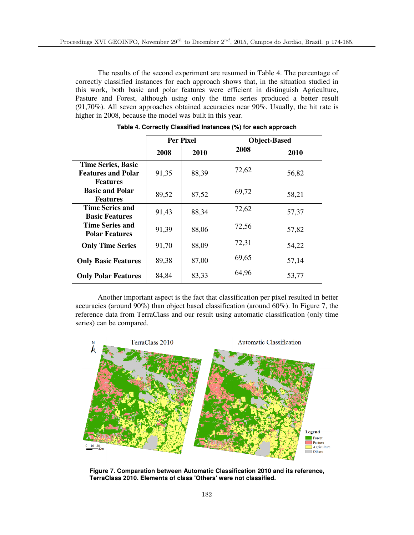The results of the second experiment are resumed in Table 4. The percentage of correctly classified instances for each approach shows that, in the situation studied in this work, both basic and polar features were efficient in distinguish Agriculture, Pasture and Forest, although using only the time series produced a better result (91,70%). All seven approaches obtained accuracies near 90%. Usually, the hit rate is higher in 2008, because the model was built in this year.

|                                                                           | <b>Per Pixel</b> |       | <b>Object-Based</b> |       |  |
|---------------------------------------------------------------------------|------------------|-------|---------------------|-------|--|
|                                                                           | 2008             | 2010  | 2008                | 2010  |  |
| <b>Time Series, Basic</b><br><b>Features and Polar</b><br><b>Features</b> | 91,35            | 88,39 | 72,62               | 56,82 |  |
| <b>Basic and Polar</b><br><b>Features</b>                                 | 89,52            | 87,52 | 69,72               | 58,21 |  |
| <b>Time Series and</b><br><b>Basic Features</b>                           | 91,43            | 88,34 | 72,62               | 57,37 |  |
| <b>Time Series and</b><br><b>Polar Features</b>                           | 91,39            | 88,06 | 72,56               | 57,82 |  |
| <b>Only Time Series</b>                                                   | 91,70            | 88,09 | 72,31               | 54,22 |  |
| <b>Only Basic Features</b>                                                | 89,38            | 87,00 | 69,65               | 57,14 |  |
| <b>Only Polar Features</b>                                                | 84,84            | 83,33 | 64,96               | 53,77 |  |

**Table 4. Correctly Classified Instances (%) for each approach**

Another important aspect is the fact that classification per pixel resulted in better accuracies (around  $90\%$ ) than object based classification (around  $60\%$ ). In Figure 7, the reference data from TerraClass and our result using automatic classification (only time series) can be compared.



**Figure 7. Comparation between Automatic Classification 2010 and its reference, TerraClass 2010. Elements of class 'Others' were not classified.**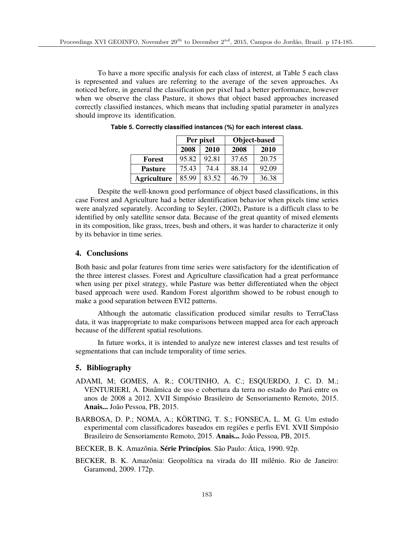To have a more specific analysis for each class of interest, at Table 5 each class is represented and values are referring to the average of the seven approaches. As noticed before, in general the classification per pixel had a better performance, however when we observe the class Pasture, it shows that object based approaches increased correctly classified instances, which means that including spatial parameter in analyzes should improve its identification.

|                    | Per pixel |       | Object-based |       |  |
|--------------------|-----------|-------|--------------|-------|--|
|                    | 2008      | 2010  | 2008         | 2010  |  |
| Forest             | 95.82     | 92.81 | 37.65        | 20.75 |  |
| <b>Pasture</b>     | 75.43     | 74.4  | 88.14        | 92.09 |  |
| <b>Agriculture</b> | 85.99     | 83.52 | 46.79        | 36.38 |  |

**Table 5. Correctly classified instances (%) for each interest class.**

Despite the well-known good performance of object based classifications, in this case Forest and Agriculture had a better identification behavior when pixels time series were analyzed separately. According to Seyler, (2002), Pasture is a difficult class to be identified by only satellite sensor data. Because of the great quantity of mixed elements in its composition, like grass, trees, bush and others, it was harder to characterize it only by its behavior in time series.

## **4. Conclusions**

Both basic and polar features from time series were satisfactory for the identification of the three interest classes. Forest and Agriculture classification had a great performance when using per pixel strategy, while Pasture was better differentiated when the object based approach were used. Random Forest algorithm showed to be robust enough to make a good separation between EVI2 patterns.

Although the automatic classification produced similar results to TerraClass data, it was inappropriate to make comparisons between mapped area for each approach because of the different spatial resolutions.

In future works, it is intended to analyze new interest classes and test results of segmentations that can include temporality of time series.

## **5. Bibliography**

- ADAMI, M; GOMES, A. R.; COUTINHO, A. C.; ESQUERDO, J. C. D. M.; VENTURIERI, A. Dinâmica de uso e cobertura da terra no estado do Pará entre os anos de 2008 a 2012. XVII Simpósio Brasileiro de Sensoriamento Remoto, 2015. **Anais...** João Pessoa, PB, 2015.
- BARBOSA, D. P.; NOMA, A.; KÖRTING, T. S.; FONSECA, L. M. G. Um estudo experimental com classificadores baseados em regiões e perfis EVI. XVII Simpósio Brasileiro de Sensoriamento Remoto, 2015. **Anais...** João Pessoa, PB, 2015.
- BECKER, B. K. Amazônia. **Série Princípios***.* São Paulo: Ática, 1990. 92p.
- BECKER, B. K. Amazônia: Geopolítica na virada do III milênio. Rio de Janeiro: Garamond, 2009. 172p.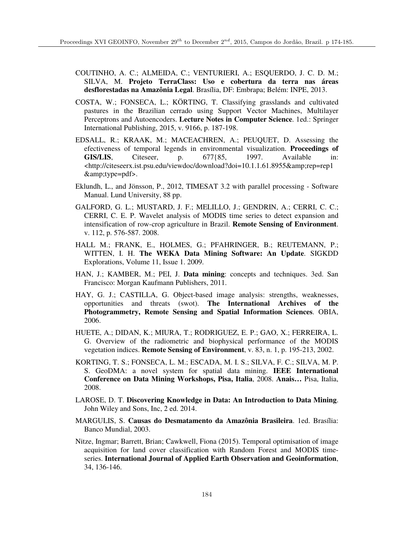- COUTINHO, A. C.; ALMEIDA, C.; VENTURIERI, A.; ESQUERDO, J. C. D. M.; SILVA, M. **Projeto TerraClass: Uso e cobertura da terra nas áreas desflorestadas na Amazônia Legal**. Brasília, DF: Embrapa; Belém: INPE, 2013.
- COSTA, W.; FONSECA, L.; KÖRTING, T. Classifying grasslands and cultivated pastures in the Brazilian cerrado using Support Vector Machines, Multilayer Perceptrons and Autoencoders. **Lecture Notes in Computer Science**. 1ed.: Springer International Publishing, 2015, v. 9166, p. 187-198.
- EDSALL, R.; KRAAK, M.; MACEACHREN, A.; PEUQUET, D. Assessing the efectiveness of temporal legends in environmental visualization. **Proceedings of GIS/LIS**, Citeseer, p. 677{85, 1997. Available in:  $\text{http://citesseerx.ist.psu.edu/viewdoc/download?doi=10.1.1.61.8955&rep=rep1$ &type=pdf>.
- Eklundh, L., and Jönsson, P., 2012, TIMESAT 3.2 with parallel processing Software Manual. Lund University, 88 pp.
- GALFORD, G. L.; MUSTARD, J. F.; MELILLO, J.; GENDRIN, A.; CERRI, C. C.; CERRI, C. E. P. Wavelet analysis of MODIS time series to detect expansion and intensification of row-crop agriculture in Brazil. **Remote Sensing of Environment**. v. 112, p. 576-587. 2008.
- HALL M.; FRANK, E., HOLMES, G.; PFAHRINGER, B.; REUTEMANN, P.; WITTEN, I. H. **The WEKA Data Mining Software: An Update**. SIGKDD Explorations, Volume 11, Issue 1. 2009.
- HAN, J.; KAMBER, M.; PEI, J. **Data mining**: concepts and techniques. 3ed. San Francisco: Morgan Kaufmann Publishers, 2011.
- HAY, G. J.; CASTILLA, G. Object-based image analysis: strengths, weaknesses, opportunities and threats (swot). **The International Archives of the Photogrammetry, Remote Sensing and Spatial Information Sciences**. OBIA, 2006.
- HUETE, A.; DIDAN, K.; MIURA, T.; RODRIGUEZ, E. P.; GAO, X.; FERREIRA, L. G. Overview of the radiometric and biophysical performance of the MODIS vegetation indices. **Remote Sensing of Environment**, v. 83, n. 1, p. 195-213, 2002.
- KORTING, T. S.; FONSECA, L. M.; ESCADA, M. I. S.; SILVA, F. C.; SILVA, M. P. S. GeoDMA: a novel system for spatial data mining. **IEEE International Conference on Data Mining Workshops, Pisa, Italia**, 2008. **Anais…** Pisa, Italia, 2008.
- LAROSE, D. T. **Discovering Knowledge in Data: An Introduction to Data Mining**. John Wiley and Sons, Inc, 2 ed. 2014.
- MARGULIS, S. **Causas do Desmatamento da Amazônia Brasileira**. 1ed. Brasília: Banco Mundial, 2003.
- Nitze, Ingmar; Barrett, Brian; Cawkwell, Fiona (2015). Temporal optimisation of image acquisition for land cover classification with Random Forest and MODIS timeseries. **International Journal of Applied Earth Observation and Geoinformation**, 34, 136-146.